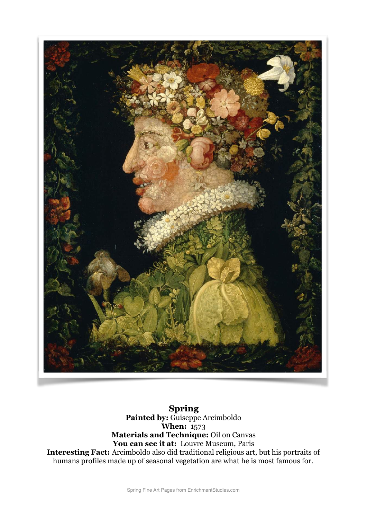

**Spring Painted by:** Guiseppe Arcimboldo **When:** 1573 **Materials and Technique:** Oil on Canvas You can see it at: Louvre Museum, Paris **Interesting Fact:** Arcimboldo also did traditional religious art, but his portraits of humans profiles made up of seasonal vegetation are what he is most famous for.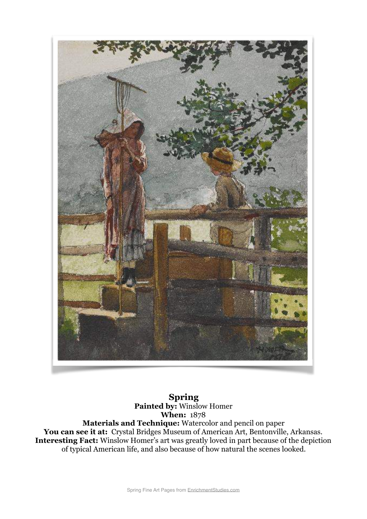

**Spring Painted by:** Winslow Homer **When:** 1878 **Materials and Technique:** Watercolor and pencil on paper You can see it at: Crystal Bridges Museum of American Art, Bentonville, Arkansas. **Interesting Fact:** Winslow Homer's art was greatly loved in part because of the depiction of typical American life, and also because of how natural the scenes looked.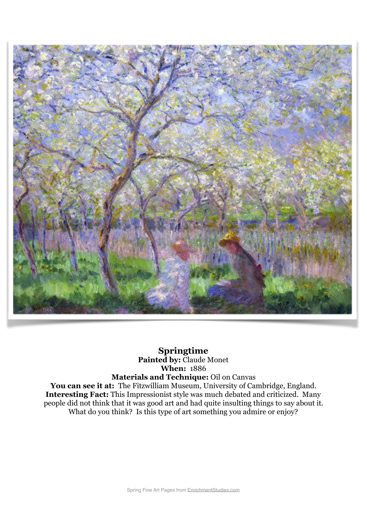

## **Springtime Painted by:** Claude Monet **When:** 1886 **Materials and Technique:** Oil on Canvas

You can see it at: The Fitzwilliam Museum, University of Cambridge, England. **Interesting Fact:** This Impressionist style was much debated and criticized. Many people did not think that it was good art and had quite insulting things to say about it. What do you think? Is this type of art something you admire or enjoy?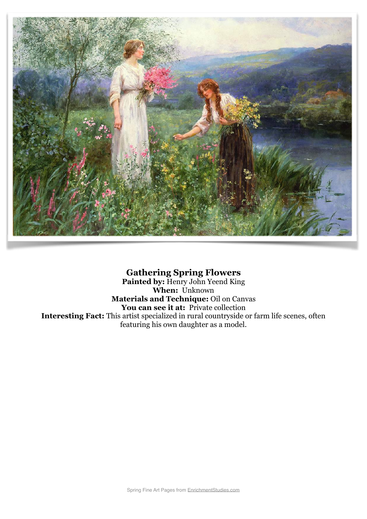

## **Gathering Spring Flowers**

**Painted by:** Henry John Yeend King **When:** Unknown **Materials and Technique:** Oil on Canvas You can see it at: Private collection **Interesting Fact:** This artist specialized in rural countryside or farm life scenes, often featuring his own daughter as a model.